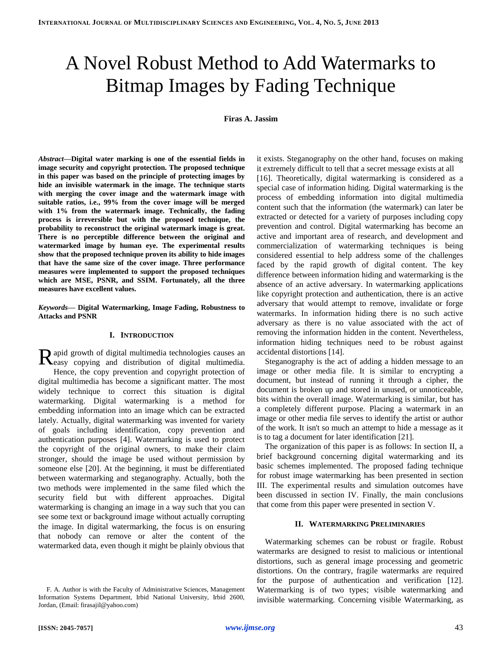# A Novel Robust Method to Add Watermarks to Bitmap Images by Fading Technique

**Firas A. Jassim**

*Abstract***—Digital water marking is one of the essential fields in image security and copyright protection. The proposed technique in this paper was based on the principle of protecting images by hide an invisible watermark in the image. The technique starts with merging the cover image and the watermark image with suitable ratios, i.e., 99% from the cover image will be merged with 1% from the watermark image. Technically, the fading process is irreversible but with the proposed technique, the probability to reconstruct the original watermark image is great. There is no perceptible difference between the original and watermarked image by human eye. The experimental results show that the proposed technique proven its ability to hide images that have the same size of the cover image. Three performance measures were implemented to support the proposed techniques which are MSE, PSNR, and SSIM. Fortunately, all the three measures have excellent values.**

*Keywords***— Digital Watermarking, Image Fading, Robustness to Attacks and PSNR**

## **I. INTRODUCTION**

apid growth of digital multimedia technologies causes an Rapid growth of digital multimedia technologies causes an electropying and distribution of digital multimedia. Hence, the copy prevention and copyright protection of digital multimedia has become a significant matter. The most widely technique to correct this situation is digital watermarking. Digital watermarking is a method for embedding information into an image which can be extracted lately. Actually, digital watermarking was invented for variety of goals including identification, copy prevention and authentication purposes [\[4\].](#page-4-0) Watermarking is used to protect the copyright of the original owners, to make their claim stronger, should the image be used without permission by someone else [\[20\].](#page-4-1) At the beginning, it must be differentiated between watermarking and steganography. Actually, both the two methods were implemented in the same filed which the security field but with different approaches. Digital watermarking is changing an image in a way such that you can see some text or background image without actually corrupting the image. In digital watermarking, the focus is on ensuring that nobody can remove or alter the content of the watermarked data, even though it might be plainly obvious that

it exists. Steganography on the other hand, focuses on making it extremely difficult to tell that a secret message exists at all [\[16\].](#page-4-2) Theoretically, digital watermarking is considered as a special case of information hiding. Digital watermarking is the process of embedding information into digital multimedia content such that the information (the watermark) can later be extracted or detected for a variety of purposes including copy prevention and control. Digital watermarking has become an active and important area of research, and development and commercialization of watermarking techniques is being considered essential to help address some of the challenges faced by the rapid growth of digital content. The key difference between information hiding and watermarking is the absence of an active adversary. In watermarking applications like copyright protection and authentication, there is an active adversary that would attempt to remove, invalidate or forge watermarks. In information hiding there is no such active adversary as there is no value associated with the act of removing the information hidden in the content. Nevertheless, information hiding techniques need to be robust against accidental distortions [\[14\].](#page-4-3)

Steganography is the act of adding a hidden message to an image or other media file. It is similar to encrypting a document, but instead of running it through a cipher, the document is broken up and stored in unused, or unnoticeable, bits within the overall image. Watermarking is similar, but has a completely different purpose. Placing a watermark in an image or other media file serves to identify the artist or author of the work. It isn't so much an attempt to hide a message as it is to tag a document for later identification [\[21\].](#page-4-4)

The organization of this paper is as follows: In section II, a brief background concerning digital watermarking and its basic schemes implemented. The proposed fading technique for robust image watermarking has been presented in section III. The experimental results and simulation outcomes have been discussed in section IV. Finally, the main conclusions that come from this paper were presented in section V.

## **II. WATERMARKING PRELIMINARIES**

Watermarking schemes can be robust or fragile. Robust watermarks are designed to resist to malicious or intentional distortions, such as general image processing and geometric distortions. On the contrary, fragile watermarks are required for the purpose of authentication and verification [\[12\].](#page-4-5) Watermarking is of two types; visible watermarking and invisible watermarking. Concerning visible Watermarking, as

F. A. Author is with the Faculty of Administrative Sciences, Management Information Systems Department, Irbid National University, Irbid 2600, Jordan, (Email: firasajil@yahoo.com)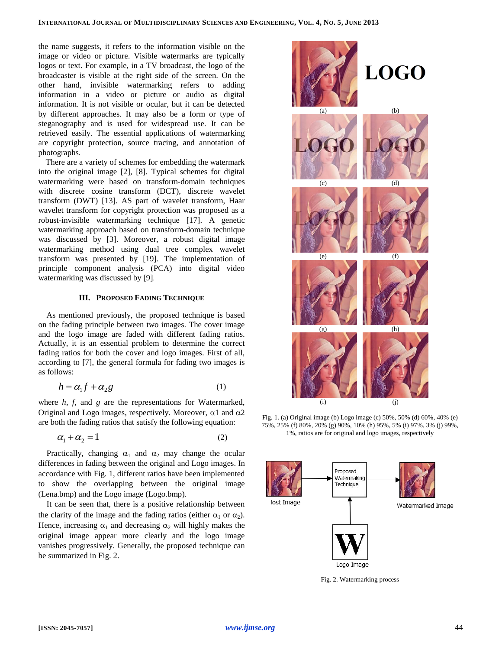the name suggests, it refers to the information visible on the image or video or picture. Visible watermarks are typically logos or text. For example, in a TV broadcast, the logo of the broadcaster is visible at the right side of the screen. On the other hand, invisible watermarking refers to adding information in a video or picture or audio as digital information. It is not visible or ocular, but it can be detected by different approaches. It may also be a form or type of steganography and is used for widespread use. It can be retrieved easily. The essential applications of watermarking are copyright protection, source tracing, and annotation of photographs.

There are a variety of schemes for embedding the watermark into the original image [\[2\],](#page-4-6) [\[8\].](#page-4-7) Typical schemes for digital watermarking were based on transform-domain techniques with discrete cosine transform (DCT), discrete wavelet transform (DWT) [\[13\].](#page-4-8) AS part of wavelet transform, Haar wavelet transform for copyright protection was proposed as a robust-invisible watermarking technique [\[17\].](#page-4-9) A genetic watermarking approach based on transform-domain technique was discussed by [\[3\].](#page-4-10) Moreover, a robust digital image watermarking method using dual tree complex wavelet transform was presented by [\[19\].](#page-4-11) The implementation of principle component analysis (PCA) into digital video watermarking was discussed by [\[9\]](#page-4-12).

## **III. PROPOSED FADING TECHNIQUE**

As mentioned previously, the proposed technique is based on the fading principle between two images. The cover image and the logo image are faded with different fading ratios. Actually, it is an essential problem to determine the correct fading ratios for both the cover and logo images. First of all, according to [\[7\],](#page-4-13) the general formula for fading two images is as follows:

$$
h = \alpha_1 f + \alpha_2 g \tag{1}
$$

where *h*, *f*, and *g* are the representations for Watermarked, Original and Logo images, respectively. Moreover,  $\alpha$ 1 and  $\alpha$ 2 are both the fading ratios that satisfy the following equation:

$$
\alpha_1 + \alpha_2 = 1 \tag{2}
$$

Practically, changing  $\alpha_1$  and  $\alpha_2$  may change the ocular differences in fading between the original and Logo images. In accordance with Fig. 1, different ratios have been implemented to show the overlapping between the original image (Lena.bmp) and the Logo image (Logo.bmp).

It can be seen that, there is a positive relationship between the clarity of the image and the fading ratios (either  $\alpha_1$  or  $\alpha_2$ ). Hence, increasing  $\alpha_1$  and decreasing  $\alpha_2$  will highly makes the original image appear more clearly and the logo image vanishes progressively. Generally, the proposed technique can be summarized in Fig. 2.



Fig. 1. (a) Original image (b) Logo image (c) 50%, 50% (d) 60%, 40% (e) 75%, 25% (f) 80%, 20% (g) 90%, 10% (h) 95%, 5% (i) 97%, 3% (j) 99%, 1%, ratios are for original and logo images, respectively



Fig. 2. Watermarking process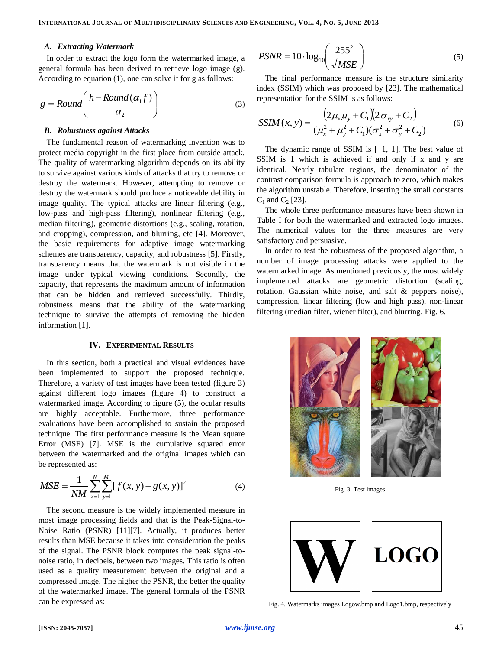#### *A. Extracting Watermark*

In order to extract the logo form the watermarked image, a general formula has been derived to retrieve logo image (g). According to equation (1), one can solve it for g as follows:

$$
g = Round\left(\frac{h - Round(\alpha_1 f)}{\alpha_2}\right) \tag{3}
$$

#### *B. Robustness against Attacks*

The fundamental reason of watermarking invention was to protect media copyright in the first place from outside attack. The quality of watermarking algorithm depends on its ability to survive against various kinds of attacks that try to remove or destroy the watermark. However, attempting to remove or destroy the watermark should produce a noticeable debility in image quality. The typical attacks are linear filtering (e.g., low-pass and high-pass filtering), nonlinear filtering (e.g., median filtering), geometric distortions (e.g., scaling, rotation, and cropping), compression, and blurring, etc [\[4\].](#page-4-0) Moreover, the basic requirements for adaptive image watermarking schemes are transparency, capacity, and robustness [\[5\].](#page-4-14) Firstly, transparency means that the watermark is not visible in the image under typical viewing conditions. Secondly, the capacity, that represents the maximum amount of information that can be hidden and retrieved successfully. Thirdly, robustness means that the ability of the watermarking technique to survive the attempts of removing the hidden information [\[1\].](#page-4-15)

#### **IV. EXPERIMENTAL RESULTS**

In this section, both a practical and visual evidences have been implemented to support the proposed technique. Therefore, a variety of test images have been tested (figure 3) against different logo images (figure 4) to construct a watermarked image. According to figure (5), the ocular results are highly acceptable. Furthermore, three performance evaluations have been accomplished to sustain the proposed technique. The first performance measure is the Mean square Error (MSE) [\[7\].](#page-4-13) MSE is the cumulative squared error between the watermarked and the original images which can be represented as:

$$
MSE = \frac{1}{NM} \sum_{x=1}^{N} \sum_{y=1}^{M} [f(x, y) - g(x, y)]^{2}
$$
 (4)

The second measure is the widely implemented measure in most image processing fields and that is the Peak-Signal-to-Noise Ratio (PSNR) [\[11\]\[7\].](#page-4-16) Actually, it produces better results than MSE because it takes into consideration the peaks of the signal. The PSNR block computes the peak signal-tonoise ratio, in decibels, between two images. This ratio is often used as a quality measurement between the original and a compressed image. The higher the PSNR, the better the quality of the watermarked image. The general formula of the PSNR can be expressed as:

$$
PSNR = 10 \cdot \log_{10} \left( \frac{255^2}{\sqrt{MSE}} \right)
$$
 (5)

The final performance measure is the structure similarity index (SSIM) which was proposed by [\[23\].](#page-4-17) The mathematical representation for the SSIM is as follows:

$$
SSIM(x, y) = \frac{\left(2\mu_x\mu_y + C_1\right)\left(2\sigma_{xy} + C_2\right)}{(\mu_x^2 + \mu_y^2 + C_1)(\sigma_x^2 + \sigma_y^2 + C_2)}
$$
(6)

The dynamic range of SSIM is [−1, 1]. The best value of SSIM is 1 which is achieved if and only if x and y are identical. Nearly tabulate regions, the denominator of the contrast comparison formula is approach to zero, which makes the algorithm unstable. Therefore, inserting the small constants  $C_1$  and  $C_2$  [\[23\].](#page-4-17)

The whole three performance measures have been shown in Table I for both the watermarked and extracted logo images. The numerical values for the three measures are very satisfactory and persuasive.

In order to test the robustness of the proposed algorithm, a number of image processing attacks were applied to the watermarked image. As mentioned previously, the most widely implemented attacks are geometric distortion (scaling, rotation, Gaussian white noise, and salt & peppers noise), compression, linear filtering (low and high pass), non-linear filtering (median filter, wiener filter), and blurring, Fig. 6.



Fig. 3. Test images



Fig. 4. Watermarks images Logow.bmp and Logo1.bmp, respectively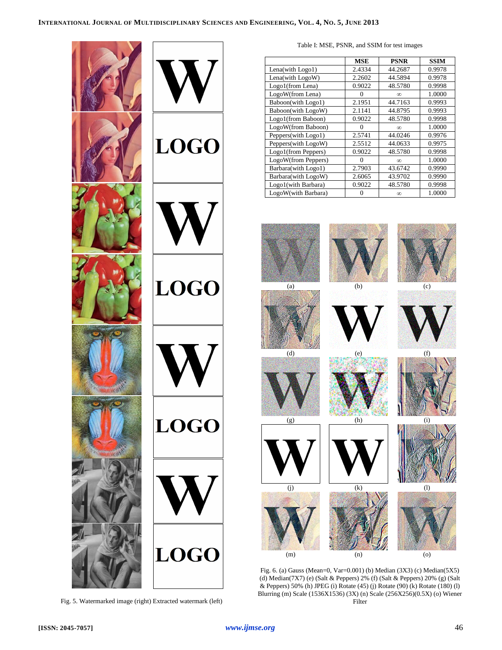

Fig. 5. Watermarked image (right) Extracted watermark (left)

Table I: MSE, PSNR, and SSIM for test images

|                     | <b>MSE</b> | <b>PSNR</b> | <b>SSIM</b> |
|---------------------|------------|-------------|-------------|
| Lena(with Logo1)    | 2.4334     | 44.2687     | 0.9978      |
| Lena(with LogoW)    | 2.2602     | 44.5894     | 0.9978      |
| Logo1(from Lena)    | 0.9022     | 48.5780     | 0.9998      |
| LogoW(from Lena)    | 0          | $\infty$    | 1.0000      |
| Baboon(with Logo1)  | 2.1951     | 44.7163     | 0.9993      |
| Baboon(with LogoW)  | 2.1141     | 44.8795     | 0.9993      |
| Logo1(from Baboon)  | 0.9022     | 48.5780     | 0.9998      |
| LogoW(from Baboon)  | $\Omega$   | $\infty$    | 1.0000      |
| Peppers(with Logo1) | 2.5741     | 44.0246     | 0.9976      |
| Peppers(with LogoW) | 2.5512     | 44.0633     | 0.9975      |
| Logo1(from Peppers) | 0.9022     | 48.5780     | 0.9998      |
| LogoW(from Peppers) | 0          | $\infty$    | 1.0000      |
| Barbara(with Logo1) | 2.7903     | 43.6742     | 0.9990      |
| Barbara(with LogoW) | 2.6065     | 43.9702     | 0.9990      |
| Logo1(with Barbara) | 0.9022     | 48.5780     | 0.9998      |
| LogoW(with Barbara) |            | $\infty$    | 1.0000      |

























Fig. 6. (a) Gauss (Mean=0, Var=0.001) (b) Median (3X3) (c) Median(5X5) (d) Median(7X7) (e) (Salt & Peppers) 2% (f) (Salt & Peppers) 20% (g) (Salt & Peppers) 50% (h) JPEG (i) Rotate (45) (j) Rotate (90) (k) Rotate (180) (l) Blurring (m) Scale (1536X1536) (3X) (n) Scale (256X256)(0.5X) (o) Wiener Filter